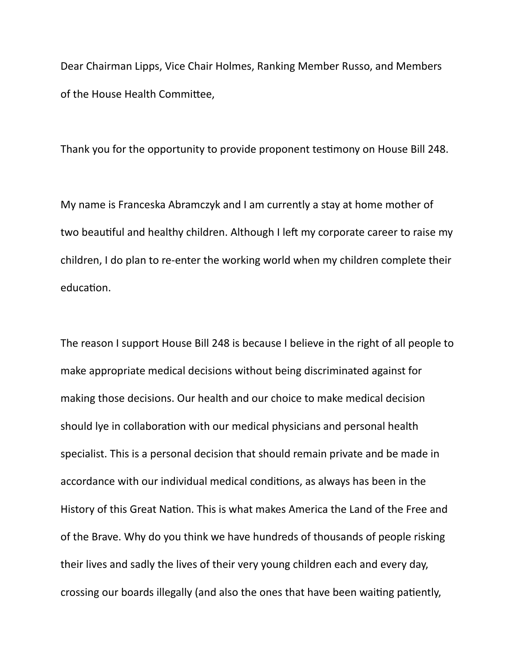Dear Chairman Lipps, Vice Chair Holmes, Ranking Member Russo, and Members of the House Health Committee,

Thank you for the opportunity to provide proponent testimony on House Bill 248.

My name is Franceska Abramczyk and I am currently a stay at home mother of two beautiful and healthy children. Although I left my corporate career to raise my children, I do plan to re-enter the working world when my children complete their education.

The reason I support House Bill 248 is because I believe in the right of all people to make appropriate medical decisions without being discriminated against for making those decisions. Our health and our choice to make medical decision should lye in collaboration with our medical physicians and personal health specialist. This is a personal decision that should remain private and be made in accordance with our individual medical conditions, as always has been in the History of this Great Nation. This is what makes America the Land of the Free and of the Brave. Why do you think we have hundreds of thousands of people risking their lives and sadly the lives of their very young children each and every day, crossing our boards illegally (and also the ones that have been waiting patiently,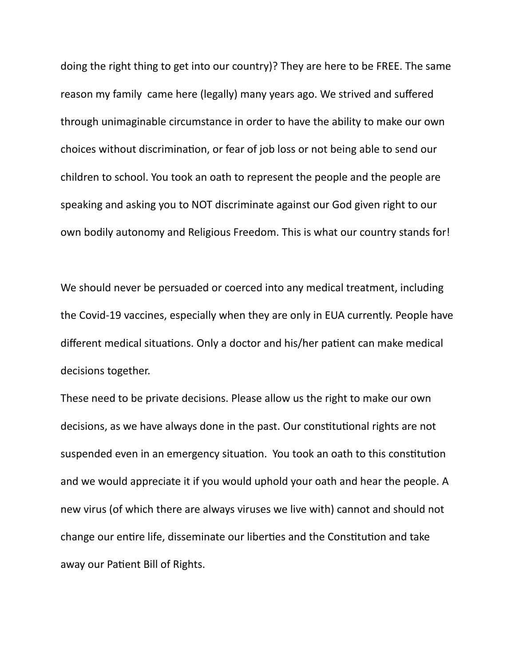doing the right thing to get into our country)? They are here to be FREE. The same reason my family came here (legally) many years ago. We strived and suffered through unimaginable circumstance in order to have the ability to make our own choices without discrimination, or fear of job loss or not being able to send our children to school. You took an oath to represent the people and the people are speaking and asking you to NOT discriminate against our God given right to our own bodily autonomy and Religious Freedom. This is what our country stands for!

We should never be persuaded or coerced into any medical treatment, including the Covid-19 vaccines, especially when they are only in EUA currently. People have different medical situations. Only a doctor and his/her patient can make medical decisions together.

These need to be private decisions. Please allow us the right to make our own decisions, as we have always done in the past. Our constitutional rights are not suspended even in an emergency situation. You took an oath to this constitution and we would appreciate it if you would uphold your oath and hear the people. A new virus (of which there are always viruses we live with) cannot and should not change our entire life, disseminate our liberties and the Constitution and take away our Patient Bill of Rights.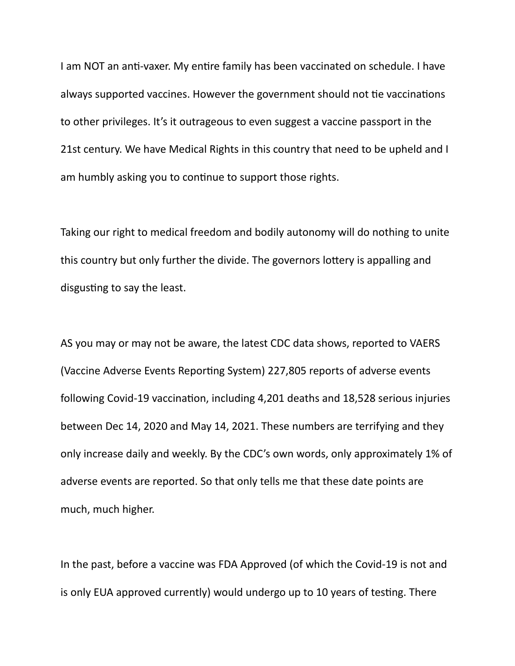I am NOT an anti-vaxer. My entire family has been vaccinated on schedule. I have always supported vaccines. However the government should not tie vaccinations to other privileges. It's it outrageous to even suggest a vaccine passport in the 21st century. We have Medical Rights in this country that need to be upheld and I am humbly asking you to continue to support those rights.

Taking our right to medical freedom and bodily autonomy will do nothing to unite this country but only further the divide. The governors lottery is appalling and disgusting to say the least.

AS you may or may not be aware, the latest CDC data shows, reported to VAERS (Vaccine Adverse Events Reporting System) 227,805 reports of adverse events following Covid-19 vaccination, including 4,201 deaths and 18,528 serious injuries between Dec 14, 2020 and May 14, 2021. These numbers are terrifying and they only increase daily and weekly. By the CDC's own words, only approximately 1% of adverse events are reported. So that only tells me that these date points are much, much higher.

In the past, before a vaccine was FDA Approved (of which the Covid-19 is not and is only EUA approved currently) would undergo up to 10 years of testing. There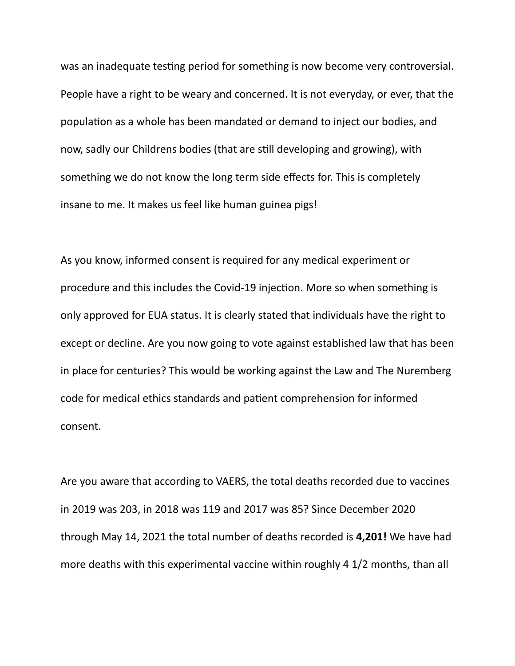was an inadequate testing period for something is now become very controversial. People have a right to be weary and concerned. It is not everyday, or ever, that the population as a whole has been mandated or demand to inject our bodies, and now, sadly our Childrens bodies (that are still developing and growing), with something we do not know the long term side effects for. This is completely insane to me. It makes us feel like human guinea pigs!

As you know, informed consent is required for any medical experiment or procedure and this includes the Covid-19 injection. More so when something is only approved for EUA status. It is clearly stated that individuals have the right to except or decline. Are you now going to vote against established law that has been in place for centuries? This would be working against the Law and The Nuremberg code for medical ethics standards and patient comprehension for informed consent.

Are you aware that according to VAERS, the total deaths recorded due to vaccines in 2019 was 203, in 2018 was 119 and 2017 was 85? Since December 2020 through May 14, 2021 the total number of deaths recorded is **4,201!** We have had more deaths with this experimental vaccine within roughly 4 1/2 months, than all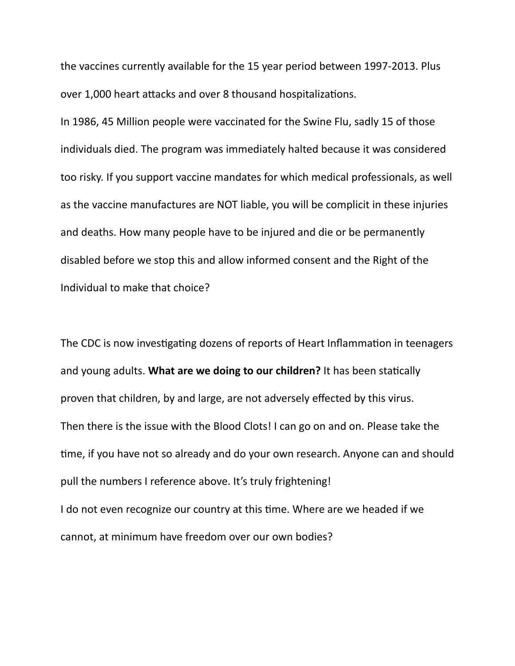the vaccines currently available for the 15 year period between 1997-2013. Plus over 1,000 heart attacks and over 8 thousand hospitalizations.

In 1986, 45 Million people were vaccinated for the Swine Flu, sadly 15 of those individuals died. The program was immediately halted because it was considered too risky. If you support vaccine mandates for which medical professionals, as well as the vaccine manufactures are NOT liable, you will be complicit in these injuries and deaths. How many people have to be injured and die or be permanently disabled before we stop this and allow informed consent and the Right of the Individual to make that choice?

The CDC is now investigating dozens of reports of Heart Inflammation in teenagers and young adults. **What are we doing to our children?** It has been statically proven that children, by and large, are not adversely effected by this virus. Then there is the issue with the Blood Clots! I can go on and on. Please take the time, if you have not so already and do your own research. Anyone can and should pull the numbers I reference above. It's truly frightening! I do not even recognize our country at this time. Where are we headed if we cannot, at minimum have freedom over our own bodies?